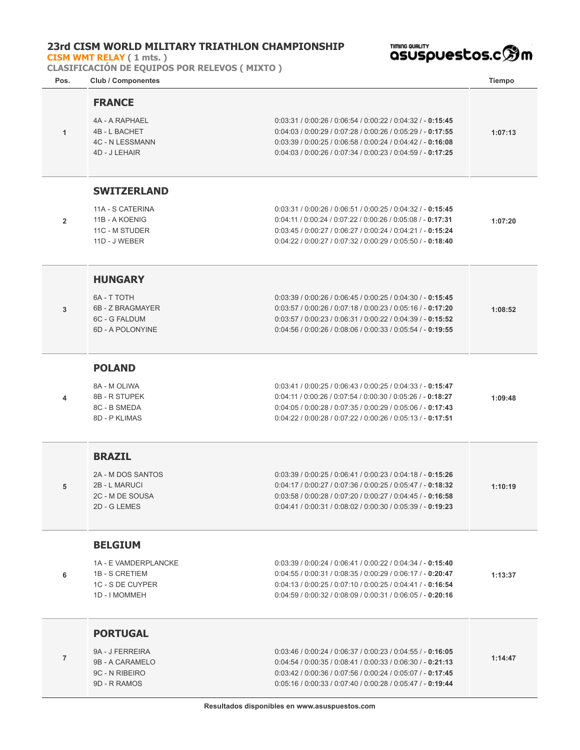## **23rd CISM WORLD MILITARY TRIATHLON CHAMPIONSHIP**

**[CISM WMT RELAY](http://localhost/inscripcionWEBHost/prueba.php?cod=3) ( 1 mts. )**

**CLASIFICACIÓN DE EQUIPOS POR RELEVOS ( MIXTO )**

™™®®®®™™

| Pos.           | <b>Club / Componentes</b>                                                                     |                                                                                                                                                                                                                                                      | <b>Tiempo</b> |
|----------------|-----------------------------------------------------------------------------------------------|------------------------------------------------------------------------------------------------------------------------------------------------------------------------------------------------------------------------------------------------------|---------------|
| 1              | <b>FRANCE</b><br>4A - A RAPHAEL<br>4B - L BACHET<br><b>4C - N LESSMANN</b><br>4D - J LEHAIR   | $0:03:31 / 0:00:26 / 0:06:54 / 0:00:22 / 0:04:32 / - 0:15:45$<br>$0:04:03 / 0:00:29 / 0:07:28 / 0:00:26 / 0:05:29 / - 0:17:55$<br>$0.03:39/0.00:25/0.06:58/0.00:24/0.04:42/-0.16:08$<br>$0:04:03/0:00:26/0:07:34/0:00:23/0:04:59/-0:17:25$           | 1:07:13       |
| $\overline{2}$ | <b>SWITZERLAND</b><br>11A - S CATERINA<br>11B - A KOENIG<br>11C - M STUDER<br>11D - J WEBER   | $0:03:31 / 0:00:26 / 0:06:51 / 0:00:25 / 0:04:32 / - 0:15:45$<br>$0:04:11 / 0:00:24 / 0:07:22 / 0:00:26 / 0:05:08 / -0:17:31$<br>$0:03:45/0:00:27/0:06:27/0:00:24/0:04:21/-0:15:24$<br>$0:04:22 / 0:00:27 / 0:07:32 / 0:00:29 / 0:05:50 / - 0:18:40$ | 1:07:20       |
| 3              | <b>HUNGARY</b><br>6A - T TOTH<br>6B - Z BRAGMAYER<br>6C - G FALDUM<br>6D - A POLONYINE        | $0:03:39/0:00:26/0:06:45/0:00:25/0:04:30/-0:15:45$<br>$0.03:57/0.00:26/0.07:18/0.00:23/0.05:16/-0:17:20$<br>$0:03:57/0:00:23/0:06:31/0:00:22/0:04:39/-0:15:52$<br>$0:04:56 / 0:00:26 / 0:08:06 / 0:00:33 / 0:05:54 / - 0:19:55$                      | 1:08:52       |
| 4              | <b>POLAND</b><br>8A - M OLIWA<br>8B - R STUPEK<br>8C - B SMEDA<br>8D - P KLIMAS               | $0:03:41 / 0:00:25 / 0:06:43 / 0:00:25 / 0:04:33 / - 0:15:47$<br>$0:04:11 / 0:00:26 / 0:07:54 / 0:00:30 / 0:05:26 / -0:18:27$<br>$0.04:05/0.00:28/0.07:35/0.00:29/0.05:06/-0:17:43$<br>$0:04:22 / 0:00:28 / 0:07:22 / 0:00:26 / 0:05:13 / - 0:17:51$ | 1:09:48       |
| 5              | <b>BRAZIL</b><br>2A - M DOS SANTOS<br>2B - L MARUCI<br>2C - M DE SOUSA<br>2D - G LEMES        | $0.03:39/0.00:25/0.06:41/0.00:23/0.04:18/-0:15:26$<br>$0.04:17/0.00:27/0.07:36/0.00:25/0.05:47/-0.18:32$<br>0:03:58 / 0:00:28 / 0:07:20 / 0:00:27 / 0:04:45 / - 0:16:58<br>0:04:41 / 0:00:31 / 0:08:02 / 0:00:30 / 0:05:39 / - 0:19:23               | 1:10:19       |
| 6              | <b>BELGIUM</b><br>1A - E VAMDERPLANCKE<br>1B - S CRETIEM<br>1C - S DE CUYPER<br>1D - I MOMMEH | $0:03:39 / 0:00:24 / 0:06:41 / 0:00:22 / 0:04:34 / - 0:15:40$<br>$0:04:55/0:00:31/0:08:35/0:00:29/0:06:17/0.01:20:47$<br>$0:04:13/0:00:25/0:07:10/0:00:25/0:04:41/-0:16:54$<br>$0:04:59 / 0:00:32 / 0:08:09 / 0:00:31 / 0:06:05 / - 0:20:16$         | 1:13:37       |
| $\overline{7}$ | <b>PORTUGAL</b><br>9A - J FERREIRA<br>9B - A CARAMELO<br>9C - N RIBEIRO<br>9D - R RAMOS       | $0:03:46 / 0:00:24 / 0:06:37 / 0:00:23 / 0:04:55 / - 0:16:05$<br>$0.04:54/0.00:35/0.08:41/0.00:33/0.06:30/-0:21:13$<br>$0.03:42/0.00:36/0.07:56/0.00:24/0.05:07/-0:17:45$<br>$0.05:16/0.00:33/0.07:40/0.00:28/0.05:47/-0:19:44$                      | 1:14:47       |